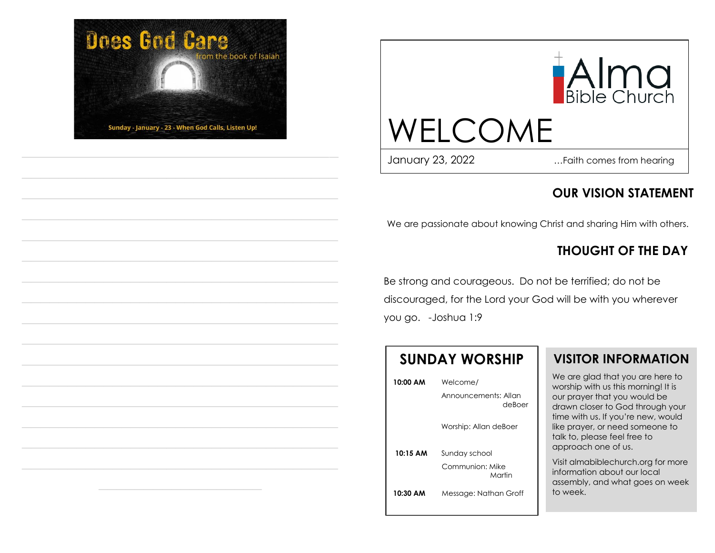

\_\_\_\_\_\_\_\_\_\_\_\_\_\_\_\_\_\_\_\_\_\_\_\_\_\_\_\_\_\_\_\_\_\_\_

\_\_\_\_\_\_\_\_\_\_\_\_\_\_\_\_\_\_\_\_\_\_\_\_\_\_\_\_\_\_\_\_\_\_\_

\_\_\_\_\_\_\_\_\_\_\_\_\_\_\_\_\_\_\_\_\_\_\_\_\_\_\_\_\_\_\_\_\_\_\_

\_\_\_\_\_\_\_\_\_\_\_\_\_\_\_\_\_\_\_\_\_\_\_\_\_\_\_\_\_\_\_\_\_\_\_

\_\_\_\_\_\_\_\_\_\_\_\_\_\_\_\_\_\_\_\_\_\_\_\_\_\_\_\_\_\_\_\_\_\_\_

\_\_\_\_\_\_\_\_\_\_\_\_\_\_\_\_\_\_\_\_\_\_\_\_\_\_\_\_\_\_\_\_\_\_\_

\_\_\_\_\_\_\_\_\_\_\_\_\_\_\_\_\_\_\_\_\_\_\_\_\_\_\_\_\_\_\_\_\_\_\_

\_\_\_\_\_\_\_\_\_\_\_\_\_\_\_\_\_\_\_\_\_\_\_\_\_\_\_\_\_\_\_\_\_\_\_

\_\_\_\_\_\_\_\_\_\_\_\_\_\_\_\_\_\_\_\_\_\_\_\_\_\_\_\_\_\_\_\_\_\_\_

\_\_\_\_\_\_\_\_\_\_\_\_\_\_\_\_\_\_\_\_\_\_\_\_\_\_\_\_\_\_\_\_\_\_\_

\_\_\_\_\_\_\_\_\_\_\_\_\_\_\_\_\_\_\_\_\_\_\_\_\_\_\_\_\_\_\_\_\_\_\_

\_\_\_\_\_\_\_\_\_\_\_\_\_\_\_\_\_\_\_\_\_\_\_\_\_\_\_\_\_\_\_\_\_\_\_

\_\_\_\_\_\_\_\_\_\_\_\_\_\_\_\_\_\_\_\_\_\_\_\_\_\_\_\_\_\_\_\_\_\_\_

\_\_\_\_\_\_\_\_\_\_\_\_\_\_\_\_\_\_\_\_\_\_\_\_\_\_\_\_\_\_\_\_\_\_\_

\_\_\_\_\_\_\_\_\_\_\_\_\_\_\_\_\_\_\_\_\_\_\_\_\_\_\_\_\_\_\_\_\_\_\_

\_\_\_\_\_\_\_\_\_\_\_\_\_\_\_\_\_\_



WELCOME

Ï

January 23, 2022 …Faith comes from hearing

## **OUR VISION STATEMENT**

We are passionate about knowing Christ and sharing Him with others.

# **THOUGHT OF THE DAY**

Be strong and courageous. Do not be terrified; do not be discouraged, for the Lord your God will be with you wherever you go. -Joshua 1:9

| <b>SUNDAY WORSHIP</b> |                                                    | <b>VISITOR IN</b>                                                                  |
|-----------------------|----------------------------------------------------|------------------------------------------------------------------------------------|
| 10:00 AM              | Welcome/<br>Announcements: Allan<br>deBoer         | We are glad th<br>worship with us<br>our prayer that<br>drawn closer to            |
| 10:15 AM              | Worship: Allan deBoer<br>Sunday school             | time with $\cup$ s. If y<br>like prayer, or n<br>talk to, please f<br>approach one |
| 10:30 AM              | Communion: Mike<br>Martin<br>Message: Nathan Groff | Visit almabibled<br>information ab<br>assembly, and<br>to week.                    |
|                       |                                                    |                                                                                    |

## **NFORMATION**

at you are here to this morning! It is you would be drawn God through your you're new, would leed someone to feel free to of us.

church.org for more out our local what goes on week